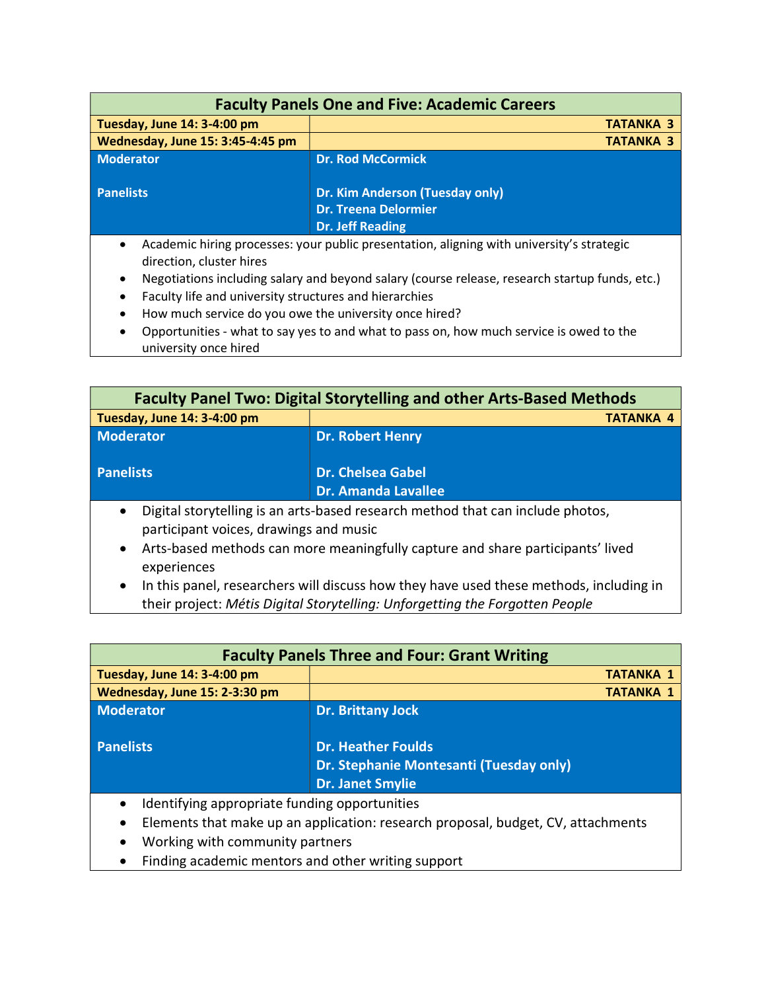| <b>Faculty Panels One and Five: Academic Careers</b>                                                                                                                                                                                                                                                                                                                               |                                                                                           |
|------------------------------------------------------------------------------------------------------------------------------------------------------------------------------------------------------------------------------------------------------------------------------------------------------------------------------------------------------------------------------------|-------------------------------------------------------------------------------------------|
| Tuesday, June 14: 3-4:00 pm                                                                                                                                                                                                                                                                                                                                                        | <b>TATANKA 3</b>                                                                          |
| Wednesday, June 15: 3:45-4:45 pm                                                                                                                                                                                                                                                                                                                                                   | <b>TATANKA 3</b>                                                                          |
| <b>Moderator</b>                                                                                                                                                                                                                                                                                                                                                                   | <b>Dr. Rod McCormick</b>                                                                  |
| <b>Panelists</b>                                                                                                                                                                                                                                                                                                                                                                   | Dr. Kim Anderson (Tuesday only)<br><b>Dr. Treena Delormier</b><br><b>Dr. Jeff Reading</b> |
| Academic hiring processes: your public presentation, aligning with university's strategic<br>$\bullet$<br>direction, cluster hires<br>Negotiations including salary and beyond salary (course release, research startup funds, etc.)<br>$\bullet$<br>Faculty life and university structures and hierarchies<br>$\bullet$<br>How much service do you owe the university once hired? |                                                                                           |

 Opportunities - what to say yes to and what to pass on, how much service is owed to the university once hired

| <b>Faculty Panel Two: Digital Storytelling and other Arts-Based Methods</b>                                                           |                                                        |  |
|---------------------------------------------------------------------------------------------------------------------------------------|--------------------------------------------------------|--|
| Tuesday, June 14: 3-4:00 pm                                                                                                           | <b>TATANKA 4</b>                                       |  |
| <b>Moderator</b>                                                                                                                      | <b>Dr. Robert Henry</b>                                |  |
| <b>Panelists</b>                                                                                                                      | <b>Dr. Chelsea Gabel</b><br><b>Dr. Amanda Lavallee</b> |  |
| Digital storytelling is an arts-based research method that can include photos,<br>$\bullet$<br>participant voices, drawings and music |                                                        |  |

- Arts-based methods can more meaningfully capture and share participants' lived experiences
- In this panel, researchers will discuss how they have used these methods, including in their project: Métis Digital Storytelling: Unforgetting the Forgotten People

| <b>Faculty Panels Three and Four: Grant Writing</b>                                                                                                                                                                                                                                                           |                                                                                                 |
|---------------------------------------------------------------------------------------------------------------------------------------------------------------------------------------------------------------------------------------------------------------------------------------------------------------|-------------------------------------------------------------------------------------------------|
| Tuesday, June 14: 3-4:00 pm                                                                                                                                                                                                                                                                                   | <b>TATANKA 1</b>                                                                                |
| Wednesday, June 15: 2-3:30 pm                                                                                                                                                                                                                                                                                 | <b>TATANKA 1</b>                                                                                |
| Moderator                                                                                                                                                                                                                                                                                                     | <b>Dr. Brittany Jock</b>                                                                        |
| <b>Panelists</b>                                                                                                                                                                                                                                                                                              | <b>Dr. Heather Foulds</b><br>Dr. Stephanie Montesanti (Tuesday only)<br><b>Dr. Janet Smylie</b> |
| Identifying appropriate funding opportunities<br>$\bullet$<br>the contract of the contract of the contract of the contract of the contract of the contract of the contract of<br>$\mathbf{r}$ , $\mathbf{r}$ , $\mathbf{r}$ , $\mathbf{r}$ , $\mathbf{r}$ , $\mathbf{r}$ , $\mathbf{r}$ , $\mathbf{r}$<br>- 1 |                                                                                                 |

- Elements that make up an application: research proposal, budget, CV, attachments
- Working with community partners
- Finding academic mentors and other writing support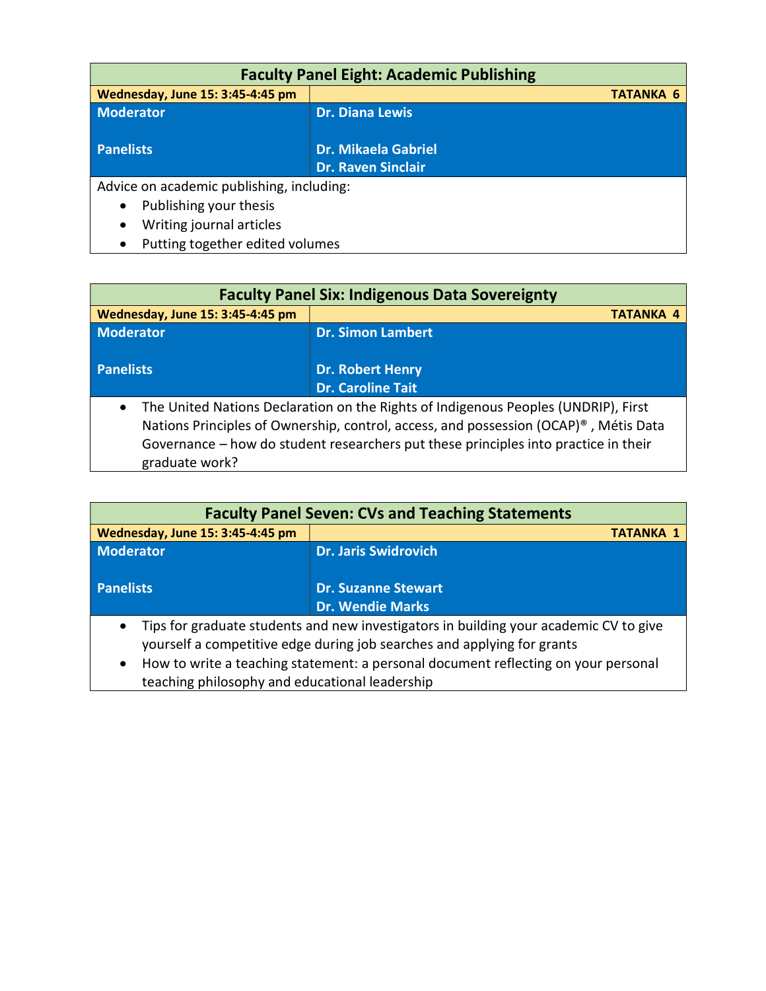| <b>Faculty Panel Eight: Academic Publishing</b> |                                                         |  |
|-------------------------------------------------|---------------------------------------------------------|--|
| Wednesday, June 15: 3:45-4:45 pm                | <b>TATANKA 6</b>                                        |  |
| <b>Moderator</b>                                | <b>Dr. Diana Lewis</b>                                  |  |
| <b>Panelists</b>                                | <b>Dr. Mikaela Gabriel</b><br><b>Dr. Raven Sinclair</b> |  |
| Advice on academic publishing, including:       |                                                         |  |
| Publishing your thesis<br>$\bullet$             |                                                         |  |
| Writing journal articles<br>$\bullet$           |                                                         |  |

• Putting together edited volumes

| <b>Faculty Panel Six: Indigenous Data Sovereignty</b>                                             |                          |
|---------------------------------------------------------------------------------------------------|--------------------------|
| Wednesday, June 15: 3:45-4:45 pm                                                                  | <b>TATANKA 4</b>         |
| <b>Moderator</b>                                                                                  | <b>Dr. Simon Lambert</b> |
| <b>Panelists</b>                                                                                  | <b>Dr. Robert Henry</b>  |
|                                                                                                   | <b>Dr. Caroline Tait</b> |
| The United Nations Declaration on the Rights of Indigenous Peoples (UNDRIP), First<br>$\bullet$   |                          |
| Nations Principles of Ownership, control, access, and possession (OCAP) <sup>®</sup> , Métis Data |                          |
| Governance - how do student researchers put these principles into practice in their               |                          |
| graduate work?                                                                                    |                          |

| <b>Faculty Panel Seven: CVs and Teaching Statements</b>                                                                                                                                                                                                             |                                                       |  |
|---------------------------------------------------------------------------------------------------------------------------------------------------------------------------------------------------------------------------------------------------------------------|-------------------------------------------------------|--|
| Wednesday, June 15: 3:45-4:45 pm                                                                                                                                                                                                                                    | <b>TATANKA 1</b>                                      |  |
| Moderator                                                                                                                                                                                                                                                           | <b>Dr. Jaris Swidrovich</b>                           |  |
| <b>Panelists</b>                                                                                                                                                                                                                                                    | <b>Dr. Suzanne Stewart</b><br><b>Dr. Wendie Marks</b> |  |
| Tips for graduate students and new investigators in building your academic CV to give<br>$\bullet$<br>yourself a competitive edge during job searches and applying for grants<br>How to write a teaching statement: a personal document reflecting on your personal |                                                       |  |

teaching philosophy and educational leadership